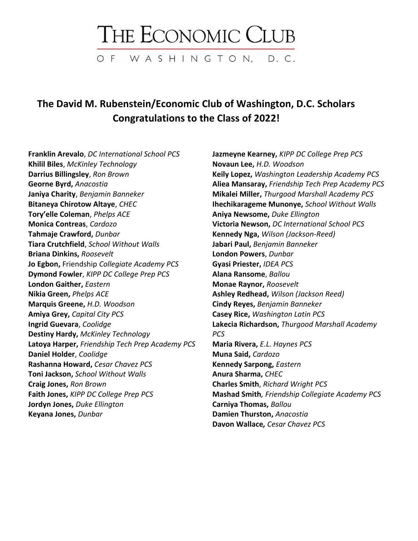## THE ECONOMIC CLUB

OF WASHINGTON, D.C.

## **The David M. Rubenstein/Economic Club of Washington, D.C. Scholars Congratulations to the Class of 2022!**

**Franklin Arevalo**, *DC International School PCS* **Khilil Biles**, *McKinley Technology* **Darrius Billingsley**, *Ron Brown* **Georne Byrd,** *Anacostia* **Janiya Charity**, *Benjamin Banneker* **Bitaneya Chirotow Altaye**, *CHEC* **Tory'elle Coleman**, *Phelps ACE* **Monica Contreas**, *Cardozo* **Tahmaje Crawford,** *Dunbar* **Tiara Crutchfield**, *School Without Walls* **Briana Dinkins,** *Roosevelt* **Jo Egbon,** Friendship *Collegiate Academy PCS* **Dymond Fowler**, *KIPP DC College Prep PCS* **London Gaither,** *Eastern* **Nikia Green,** *Phelps ACE* **Marquis Greene,** *H.D. Woodson* **Amiya Grey,** *Capital City PCS* **Ingrid Guevara**, *Coolidge* **Destiny Hardy,** *McKinley Technology* **Latoya Harper,** *Friendship Tech Prep Academy PCS* **Daniel Holder**, *Coolidge* **Rashanna Howard,** *Cesar Chavez PCS* **Toni Jackson,** *School Without Walls* **Craig Jones,** *Ron Brown* **Faith Jones,** *KIPP DC College Prep PCS* **Jordyn Jones,** *Duke Ellington* **Keyana Jones,** *Dunbar*

**Jazmeyne Kearney,** *KIPP DC College Prep PCS* **Novaun Lee,** *H.D. Woodson* **Keily Lopez,** *Washington Leadership Academy PCS* **Aliea Mansaray,** *Friendship Tech Prep Academy PCS* **Mikalei Miller,** *Thurgood Marshall Academy PCS* **Ihechikarageme Munonye,** *School Without Walls* **Aniya Newsome,** *Duke Ellington* **Victoria Newson,** *DC International School PCS* **Kennedy Nga,** *Wilson (Jackson-Reed)* **Jabari Paul,** *Benjamin Banneker* **London Powers**, *Dunbar* **Gyasi Priester,** *IDEA PCS* **Alana Ransome**, *Ballou* **Monae Raynor,** *Roosevelt* **Ashley Redhead,** *Wilson (Jackson Reed)* **Cindy Reyes,** *Benjamin Banneker* **Casey Rice,** *Washington Latin PCS* **Lakecia Richardson,** *Thurgood Marshall Academy PCS* **Maria Rivera,** *E.L. Haynes PCS* **Muna Said,** *Cardozo* **Kennedy Sarpong,** *Eastern* **Anura Sharma,** *CHEC* **Charles Smith**, *Richard Wright PCS* **Mashad Smith***, Friendship Collegiate Academy PCS* **Carniya Thomas,** *Ballou* **Damien Thurston,** *Anacostia* **Davon Wallace***, Cesar Chavez PCS*